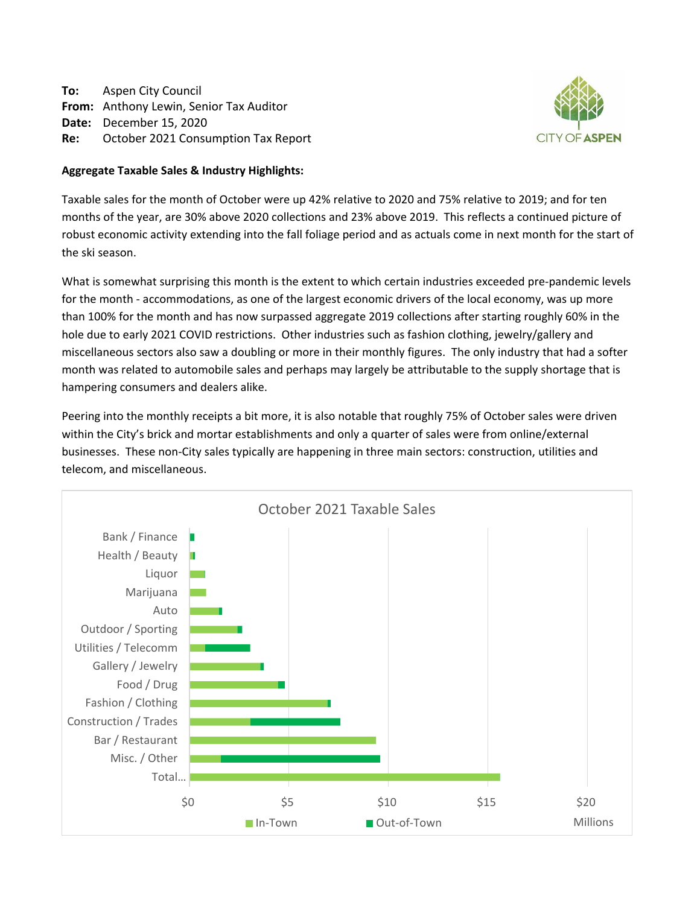**To:** Aspen City Council **From:** Anthony Lewin, Senior Tax Auditor **Date:** December 15, 2020 **Re:** October 2021 Consumption Tax Report



# **Aggregate Taxable Sales & Industry Highlights:**

Taxable sales for the month of October were up 42% relative to 2020 and 75% relative to 2019; and for ten months of the year, are 30% above 2020 collections and 23% above 2019. This reflects a continued picture of robust economic activity extending into the fall foliage period and as actuals come in next month for the start of the ski season.

What is somewhat surprising this month is the extent to which certain industries exceeded pre-pandemic levels for the month - accommodations, as one of the largest economic drivers of the local economy, was up more than 100% for the month and has now surpassed aggregate 2019 collections after starting roughly 60% in the hole due to early 2021 COVID restrictions. Other industries such as fashion clothing, jewelry/gallery and miscellaneous sectors also saw a doubling or more in their monthly figures. The only industry that had a softer month was related to automobile sales and perhaps may largely be attributable to the supply shortage that is hampering consumers and dealers alike.

Peering into the monthly receipts a bit more, it is also notable that roughly 75% of October sales were driven within the City's brick and mortar establishments and only a quarter of sales were from online/external businesses. These non-City sales typically are happening in three main sectors: construction, utilities and telecom, and miscellaneous.

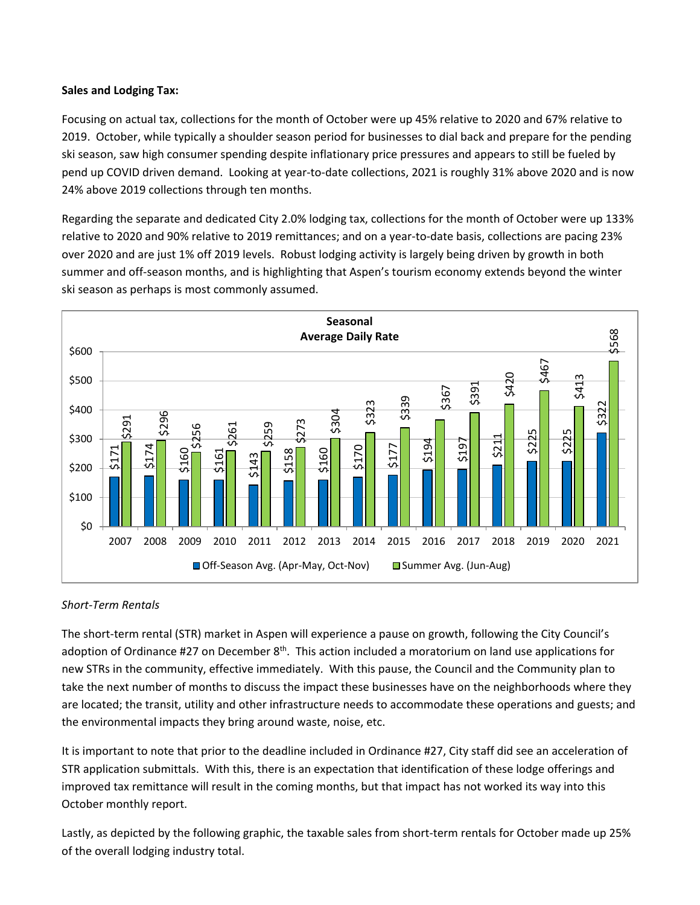# **Sales and Lodging Tax:**

Focusing on actual tax, collections for the month of October were up 45% relative to 2020 and 67% relative to 2019. October, while typically a shoulder season period for businesses to dial back and prepare for the pending ski season, saw high consumer spending despite inflationary price pressures and appears to still be fueled by pend up COVID driven demand. Looking at year-to-date collections, 2021 is roughly 31% above 2020 and is now 24% above 2019 collections through ten months.

Regarding the separate and dedicated City 2.0% lodging tax, collections for the month of October were up 133% relative to 2020 and 90% relative to 2019 remittances; and on a year-to-date basis, collections are pacing 23% over 2020 and are just 1% off 2019 levels. Robust lodging activity is largely being driven by growth in both summer and off-season months, and is highlighting that Aspen's tourism economy extends beyond the winter ski season as perhaps is most commonly assumed.



# *Short-Term Rentals*

The short-term rental (STR) market in Aspen will experience a pause on growth, following the City Council's adoption of Ordinance #27 on December  $8<sup>th</sup>$ . This action included a moratorium on land use applications for new STRs in the community, effective immediately. With this pause, the Council and the Community plan to take the next number of months to discuss the impact these businesses have on the neighborhoods where they are located; the transit, utility and other infrastructure needs to accommodate these operations and guests; and the environmental impacts they bring around waste, noise, etc.

It is important to note that prior to the deadline included in Ordinance #27, City staff did see an acceleration of STR application submittals. With this, there is an expectation that identification of these lodge offerings and improved tax remittance will result in the coming months, but that impact has not worked its way into this October monthly report.

Lastly, as depicted by the following graphic, the taxable sales from short-term rentals for October made up 25%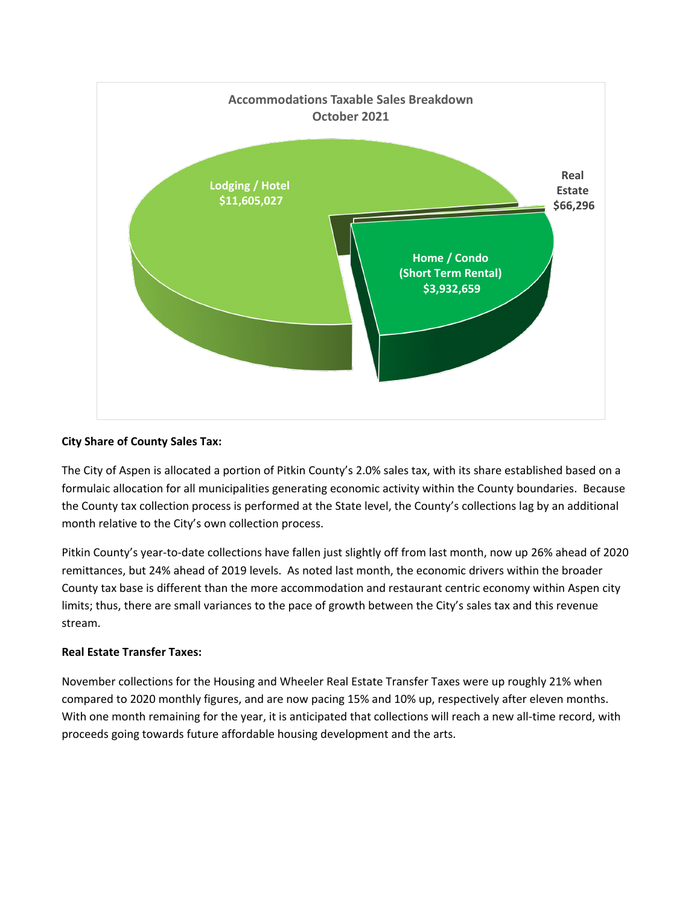

# **City Share of County Sales Tax:**

The City of Aspen is allocated a portion of Pitkin County's 2.0% sales tax, with its share established based on a formulaic allocation for all municipalities generating economic activity within the County boundaries. Because the County tax collection process is performed at the State level, the County's collections lag by an additional month relative to the City's own collection process.

Pitkin County's year-to-date collections have fallen just slightly off from last month, now up 26% ahead of 2020 remittances, but 24% ahead of 2019 levels. As noted last month, the economic drivers within the broader County tax base is different than the more accommodation and restaurant centric economy within Aspen city limits; thus, there are small variances to the pace of growth between the City's sales tax and this revenue stream.

# **Real Estate Transfer Taxes:**

November collections for the Housing and Wheeler Real Estate Transfer Taxes were up roughly 21% when compared to 2020 monthly figures, and are now pacing 15% and 10% up, respectively after eleven months. With one month remaining for the year, it is anticipated that collections will reach a new all-time record, with proceeds going towards future affordable housing development and the arts.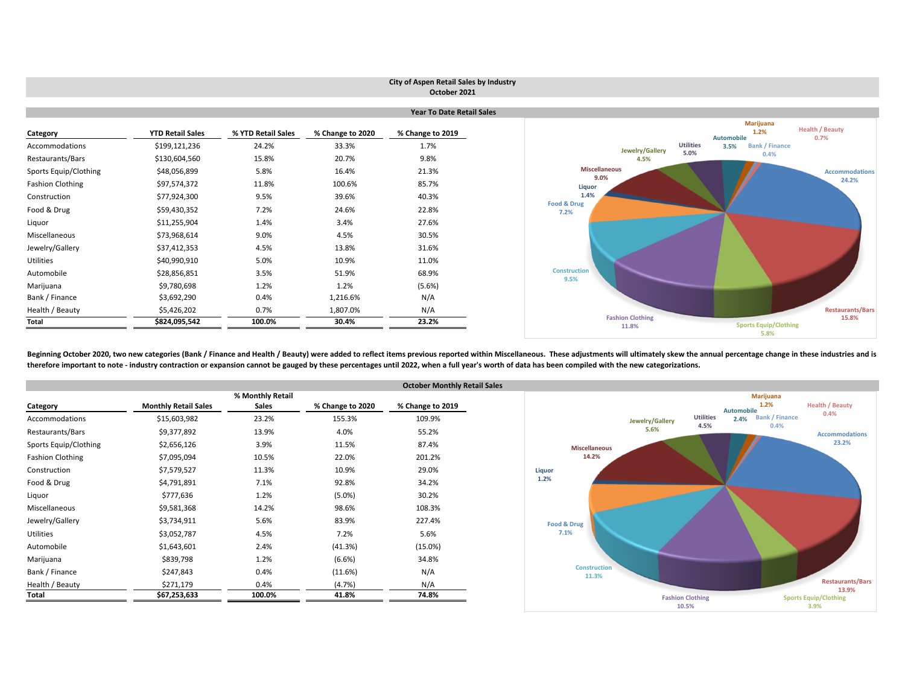|                         |                                  |                    |                  | City of Aspen Retail Sales by Industry<br>October 2021 |                                  |                                                   |                                |  |  |  |  |  |  |
|-------------------------|----------------------------------|--------------------|------------------|--------------------------------------------------------|----------------------------------|---------------------------------------------------|--------------------------------|--|--|--|--|--|--|
|                         | <b>Year To Date Retail Sales</b> |                    |                  |                                                        |                                  |                                                   |                                |  |  |  |  |  |  |
| Category                | <b>YTD Retail Sales</b>          | % YTD Retail Sales | % Change to 2020 | % Change to 2019                                       |                                  | Marijuana<br>1.2%<br>Automobile                   | <b>Health / Beauty</b><br>0.7% |  |  |  |  |  |  |
| Accommodations          | \$199,121,236                    | 24.2%              | 33.3%            | 1.7%                                                   | Jewelry/Gallery                  | <b>Utilities</b><br><b>Bank / Finance</b><br>3.5% |                                |  |  |  |  |  |  |
| Restaurants/Bars        | \$130,604,560                    | 15.8%              | 20.7%            | 9.8%                                                   | 4.5%                             | 5.0%<br>0.4%                                      |                                |  |  |  |  |  |  |
| Sports Equip/Clothing   | \$48,056,899                     | 5.8%               | 16.4%            | 21.3%                                                  | <b>Miscellaneous</b>             |                                                   | <b>Accommodations</b>          |  |  |  |  |  |  |
| <b>Fashion Clothing</b> | \$97,574,372                     | 11.8%              | 100.6%           | 85.7%                                                  | 9.0%<br>Liquor                   |                                                   | 24.2%                          |  |  |  |  |  |  |
| Construction            | \$77,924,300                     | 9.5%               | 39.6%            | 40.3%                                                  | 1.4%                             |                                                   |                                |  |  |  |  |  |  |
| Food & Drug             | \$59,430,352                     | 7.2%               | 24.6%            | 22.8%                                                  | Food & Drug<br>7.2%              |                                                   |                                |  |  |  |  |  |  |
| Liquor                  | \$11,255,904                     | 1.4%               | 3.4%             | 27.6%                                                  |                                  |                                                   |                                |  |  |  |  |  |  |
| Miscellaneous           | \$73,968,614                     | 9.0%               | 4.5%             | 30.5%                                                  |                                  |                                                   |                                |  |  |  |  |  |  |
| Jewelry/Gallery         | \$37,412,353                     | 4.5%               | 13.8%            | 31.6%                                                  |                                  |                                                   |                                |  |  |  |  |  |  |
| Utilities               | \$40,990,910                     | 5.0%               | 10.9%            | 11.0%                                                  |                                  |                                                   |                                |  |  |  |  |  |  |
| Automobile              | \$28,856,851                     | 3.5%               | 51.9%            | 68.9%                                                  | <b>Construction</b><br>9.5%      |                                                   |                                |  |  |  |  |  |  |
| Marijuana               | \$9,780,698                      | 1.2%               | 1.2%             | (5.6%)                                                 |                                  |                                                   |                                |  |  |  |  |  |  |
| Bank / Finance          | \$3,692,290                      | 0.4%               | 1,216.6%         | N/A                                                    |                                  |                                                   |                                |  |  |  |  |  |  |
| Health / Beauty         | \$5,426,202                      | 0.7%               | 1,807.0%         | N/A                                                    |                                  |                                                   | <b>Restaurants/Bars</b>        |  |  |  |  |  |  |
| <b>Total</b>            | \$824,095,542                    | 100.0%             | 30.4%            | 23.2%                                                  | <b>Fashion Clothing</b><br>11.8% | <b>Sports Equip/Clothing</b>                      | 15.8%                          |  |  |  |  |  |  |

Beginning October 2020, two new categories (Bank / Finance and Health / Beauty) were added to reflect items previous reported within Miscellaneous. These adjustments will ultimately skew the annual percentage change in the therefore important to note - industry contraction or expansion cannot be gauged by these percentages until 2022, when a full year's worth of data has been compiled with the new categorizations.

|                         |                             |                  |                  | <b>October Monthly Retail Sales</b> |
|-------------------------|-----------------------------|------------------|------------------|-------------------------------------|
|                         |                             | % Monthly Retail |                  |                                     |
| Category                | <b>Monthly Retail Sales</b> | <b>Sales</b>     | % Change to 2020 | % Change to 2019                    |
| Accommodations          | \$15,603,982                | 23.2%            | 155.3%           | 109.9%                              |
| Restaurants/Bars        | \$9,377,892                 | 13.9%            | 4.0%             | 55.2%                               |
| Sports Equip/Clothing   | \$2,656,126                 | 3.9%             | 11.5%            | 87.4%                               |
| <b>Fashion Clothing</b> | \$7,095,094                 | 10.5%            | 22.0%            | 201.2%                              |
| Construction            | \$7,579,527                 | 11.3%            | 10.9%            | 29.0%                               |
| Food & Drug             | \$4,791,891                 | 7.1%             | 92.8%            | 34.2%                               |
| Liquor                  | \$777,636                   | 1.2%             | $(5.0\%)$        | 30.2%                               |
| Miscellaneous           | \$9,581,368                 | 14.2%            | 98.6%            | 108.3%                              |
| Jewelry/Gallery         | \$3,734,911                 | 5.6%             | 83.9%            | 227.4%                              |
| <b>Utilities</b>        | \$3,052,787                 | 4.5%             | 7.2%             | 5.6%                                |
| Automobile              | \$1,643,601                 | 2.4%             | (41.3%)          | $(15.0\%)$                          |
| Marijuana               | \$839,798                   | 1.2%             | (6.6%)           | 34.8%                               |
| Bank / Finance          | \$247,843                   | 0.4%             | (11.6%)          | N/A                                 |
| Health / Beauty         | \$271,179                   | 0.4%             | (4.7%)           | N/A                                 |
| Total                   | \$67,253,633                | 100.0%           | 41.8%            | 74.8%                               |



**5.8%**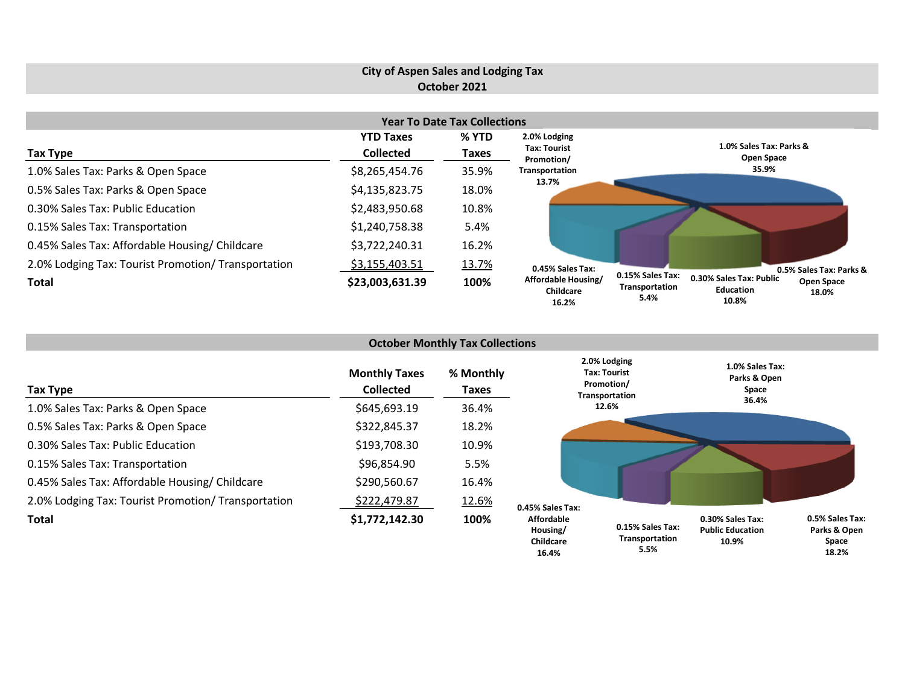# **City of Aspen Sales and Lodging Tax October 2021**

| <b>Year To Date Tax Collections</b>                 |                  |       |                                           |                                                                                                                           |  |  |  |  |  |  |
|-----------------------------------------------------|------------------|-------|-------------------------------------------|---------------------------------------------------------------------------------------------------------------------------|--|--|--|--|--|--|
|                                                     | <b>YTD Taxes</b> | % YTD | 2.0% Lodging                              |                                                                                                                           |  |  |  |  |  |  |
| Tax Type                                            | <b>Collected</b> | Taxes | <b>Tax: Tourist</b><br>Promotion/         | 1.0% Sales Tax: Parks &<br>Open Space                                                                                     |  |  |  |  |  |  |
| 1.0% Sales Tax: Parks & Open Space                  | \$8,265,454.76   | 35.9% | Transportation                            | 35.9%                                                                                                                     |  |  |  |  |  |  |
| 0.5% Sales Tax: Parks & Open Space                  | \$4,135,823.75   | 18.0% | 13.7%                                     |                                                                                                                           |  |  |  |  |  |  |
| 0.30% Sales Tax: Public Education                   | \$2,483,950.68   | 10.8% |                                           |                                                                                                                           |  |  |  |  |  |  |
| 0.15% Sales Tax: Transportation                     | \$1,240,758.38   | 5.4%  |                                           |                                                                                                                           |  |  |  |  |  |  |
| 0.45% Sales Tax: Affordable Housing/ Childcare      | \$3,722,240.31   | 16.2% |                                           |                                                                                                                           |  |  |  |  |  |  |
| 2.0% Lodging Tax: Tourist Promotion/ Transportation | \$3,155,403.51   | 13.7% | 0.45% Sales Tax:                          | 0.5% Sales Tax: Parks &                                                                                                   |  |  |  |  |  |  |
| Total                                               | \$23,003,631.39  | 100%  | Affordable Housing/<br>Childcare<br>16.2% | 0.15% Sales Tax:<br>0.30% Sales Tax: Public<br><b>Open Space</b><br>Transportation<br>Education<br>18.0%<br>5.4%<br>10.8% |  |  |  |  |  |  |

|                                                     |                                          | <b>October Monthly Tax Collections</b> |                                                                     |                                    |                                                      |                                          |
|-----------------------------------------------------|------------------------------------------|----------------------------------------|---------------------------------------------------------------------|------------------------------------|------------------------------------------------------|------------------------------------------|
| Tax Type                                            | <b>Monthly Taxes</b><br><b>Collected</b> | % Monthly<br>Taxes                     | 2.0% Lodging<br><b>Tax: Tourist</b><br>Promotion/<br>Transportation |                                    | 1.0% Sales Tax:<br>Parks & Open<br>Space             |                                          |
| 1.0% Sales Tax: Parks & Open Space                  | \$645,693.19                             | 36.4%                                  |                                                                     | 12.6%                              | 36.4%                                                |                                          |
| 0.5% Sales Tax: Parks & Open Space                  | \$322,845.37                             | 18.2%                                  |                                                                     |                                    |                                                      |                                          |
| 0.30% Sales Tax: Public Education                   | \$193,708.30                             | 10.9%                                  |                                                                     |                                    |                                                      |                                          |
| 0.15% Sales Tax: Transportation                     | \$96,854.90                              | 5.5%                                   |                                                                     |                                    |                                                      |                                          |
| 0.45% Sales Tax: Affordable Housing/ Childcare      | \$290,560.67                             | 16.4%                                  |                                                                     |                                    |                                                      |                                          |
| 2.0% Lodging Tax: Tourist Promotion/ Transportation | \$222,479.87                             | <u>12.6%</u>                           | 0.45% Sales Tax:                                                    |                                    |                                                      |                                          |
| Total                                               | \$1,772,142.30                           | 100%                                   | <b>Affordable</b><br>Housing/<br>Childcare                          | 0.15% Sales Tax:<br>Transportation | 0.30% Sales Tax:<br><b>Public Education</b><br>10.9% | 0.5% Sales Tax:<br>Parks & Open<br>Space |

**Space 18.2%**

**5.5%**

**16.4%**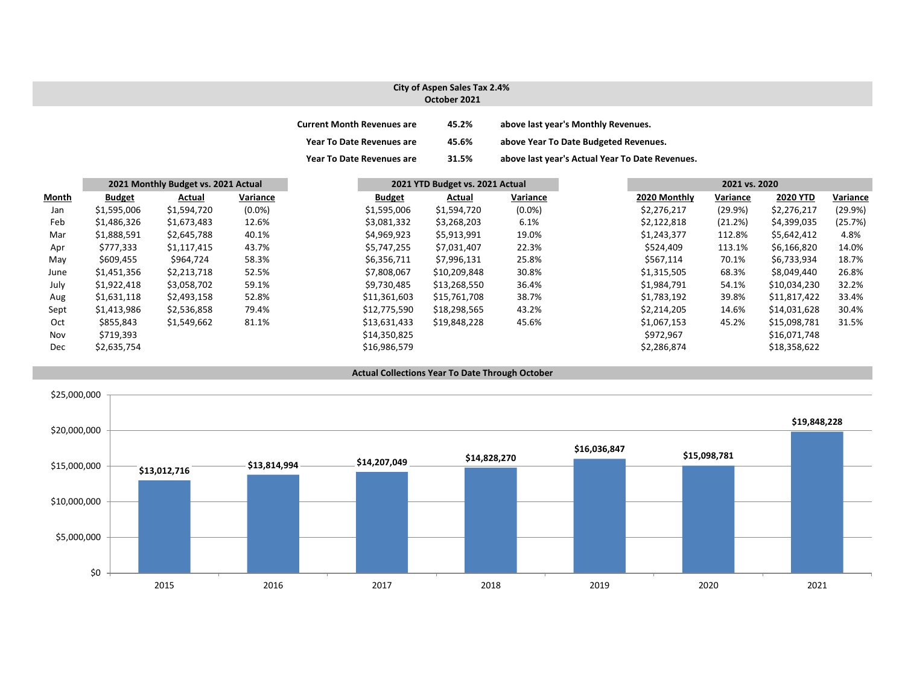#### **City of Aspen Sales Tax 2.4% October 2021**

| <b>Current Month Revenues are</b> | 45.2% | above last year's Monthly Revenues.             |
|-----------------------------------|-------|-------------------------------------------------|
| <b>Year To Date Revenues are</b>  | 45.6% | above Year To Date Budgeted Revenues.           |
| <b>Year To Date Revenues are</b>  | 31.5% | above last year's Actual Year To Date Revenues. |

|       | 2021 Monthly Budget vs. 2021 Actual |             |           | 2021 YTD Budget vs. 2021 Actual |              |           |              | 2021 vs. 2020 |                 |          |
|-------|-------------------------------------|-------------|-----------|---------------------------------|--------------|-----------|--------------|---------------|-----------------|----------|
| Month | <b>Budget</b>                       | Actual      | Variance  | <b>Budget</b>                   | Actual       | Variance  | 2020 Monthly | Variance      | <b>2020 YTD</b> | Variance |
| Jan   | \$1,595,006                         | \$1,594,720 | $(0.0\%)$ | \$1,595,006                     | \$1,594,720  | $(0.0\%)$ | \$2,276,217  | (29.9%)       | \$2,276,217     | (29.9%)  |
| Feb   | \$1,486,326                         | \$1,673,483 | 12.6%     | \$3,081,332                     | \$3,268,203  | 6.1%      | \$2,122,818  | (21.2%)       | \$4,399,035     | (25.7%)  |
| Mar   | \$1,888,591                         | \$2,645,788 | 40.1%     | \$4,969,923                     | \$5,913,991  | 19.0%     | \$1,243,377  | 112.8%        | \$5,642,412     | 4.8%     |
| Apr   | \$777,333                           | \$1,117,415 | 43.7%     | \$5,747,255                     | \$7,031,407  | 22.3%     | \$524,409    | 113.1%        | \$6,166,820     | 14.0%    |
| May   | \$609,455                           | \$964,724   | 58.3%     | \$6,356,711                     | \$7,996,131  | 25.8%     | \$567,114    | 70.1%         | \$6,733,934     | 18.7%    |
| June  | \$1,451,356                         | \$2,213,718 | 52.5%     | \$7,808,067                     | \$10,209,848 | 30.8%     | \$1,315,505  | 68.3%         | \$8,049,440     | 26.8%    |
| July  | \$1,922,418                         | \$3,058,702 | 59.1%     | \$9,730,485                     | \$13,268,550 | 36.4%     | \$1,984,791  | 54.1%         | \$10,034,230    | 32.2%    |
| Aug   | \$1,631,118                         | \$2,493,158 | 52.8%     | \$11,361,603                    | \$15,761,708 | 38.7%     | \$1,783,192  | 39.8%         | \$11,817,422    | 33.4%    |
| Sept  | \$1,413,986                         | \$2,536,858 | 79.4%     | \$12,775,590                    | \$18,298,565 | 43.2%     | \$2,214,205  | 14.6%         | \$14,031,628    | 30.4%    |
| Oct   | \$855,843                           | \$1,549,662 | 81.1%     | \$13,631,433                    | \$19,848,228 | 45.6%     | \$1,067,153  | 45.2%         | \$15,098,781    | 31.5%    |
| Nov   | \$719,393                           |             |           | \$14,350,825                    |              |           | \$972,967    |               | \$16,071,748    |          |
| Dec   | \$2,635,754                         |             |           | \$16,986,579                    |              |           | \$2,286,874  |               | \$18,358,622    |          |



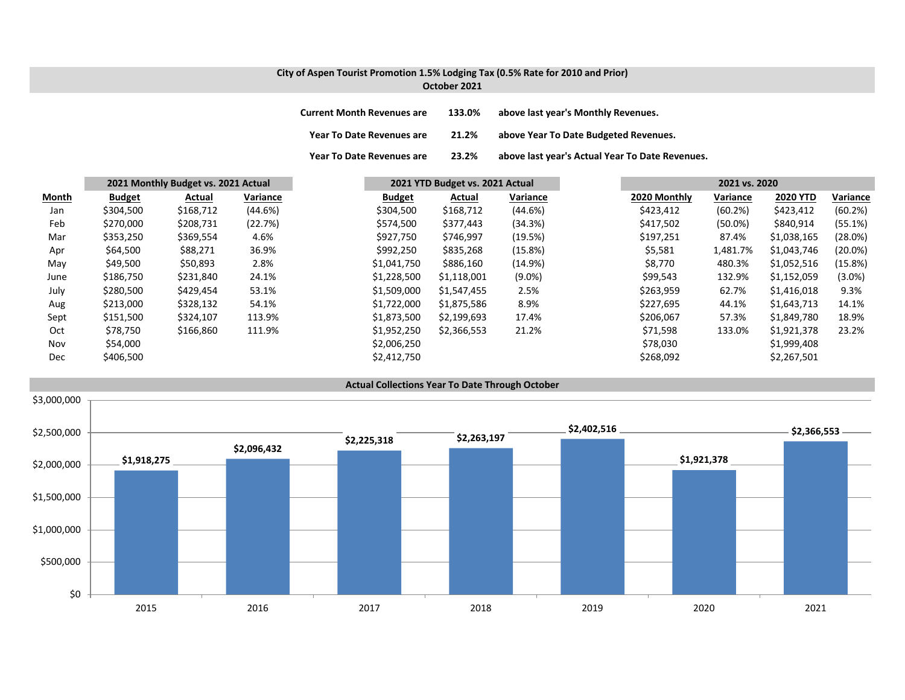### **City of Aspen Tourist Promotion 1.5% Lodging Tax (0.5% Rate for 2010 and Prior) October 2021**

| <b>Current Month Revenues are</b> | 133.0% | above last year's Monthly Revenues.             |
|-----------------------------------|--------|-------------------------------------------------|
| <b>Year To Date Revenues are</b>  | 21.2%  | above Year To Date Budgeted Revenues.           |
| <b>Year To Date Revenues are</b>  | 23.2%  | above last year's Actual Year To Date Revenues. |

|              | 2021 Monthly Budget vs. 2021 Actual |           |          | 2021 YTD Budget vs. 2021 Actual |             |           |              |            | 2021 vs. 2020   |            |  |
|--------------|-------------------------------------|-----------|----------|---------------------------------|-------------|-----------|--------------|------------|-----------------|------------|--|
| <b>Month</b> | <b>Budget</b>                       | Actual    | Variance | <b>Budget</b>                   | Actual      | Variance  | 2020 Monthly | Variance   | <b>2020 YTD</b> | Variance   |  |
| Jan          | \$304,500                           | \$168,712 | (44.6%)  | \$304,500                       | \$168,712   | (44.6%)   | \$423,412    | (60.2%)    | \$423,412       | (60.2%)    |  |
| Feb          | \$270,000                           | \$208,731 | (22.7%)  | \$574,500                       | \$377,443   | (34.3%)   | \$417,502    | $(50.0\%)$ | \$840,914       | (55.1%)    |  |
| Mar          | \$353,250                           | \$369,554 | 4.6%     | \$927,750                       | \$746,997   | (19.5%)   | \$197,251    | 87.4%      | \$1,038,165     | (28.0%)    |  |
| Apr          | \$64,500                            | \$88,271  | 36.9%    | \$992,250                       | \$835,268   | (15.8%)   | \$5,581      | 1,481.7%   | \$1,043,746     | $(20.0\%)$ |  |
| May          | \$49,500                            | \$50,893  | 2.8%     | \$1,041,750                     | \$886,160   | (14.9%)   | \$8,770      | 480.3%     | \$1,052,516     | (15.8%)    |  |
| June         | \$186,750                           | \$231,840 | 24.1%    | \$1,228,500                     | \$1,118,001 | $(9.0\%)$ | \$99,543     | 132.9%     | \$1,152,059     | $(3.0\%)$  |  |
| July         | \$280,500                           | \$429,454 | 53.1%    | \$1,509,000                     | \$1,547,455 | 2.5%      | \$263,959    | 62.7%      | \$1,416,018     | 9.3%       |  |
| Aug          | \$213,000                           | \$328,132 | 54.1%    | \$1,722,000                     | \$1,875,586 | 8.9%      | \$227,695    | 44.1%      | \$1,643,713     | 14.1%      |  |
| Sept         | \$151,500                           | \$324,107 | 113.9%   | \$1,873,500                     | \$2,199,693 | 17.4%     | \$206,067    | 57.3%      | \$1,849,780     | 18.9%      |  |
| Oct          | \$78,750                            | \$166,860 | 111.9%   | \$1,952,250                     | \$2,366,553 | 21.2%     | \$71,598     | 133.0%     | \$1,921,378     | 23.2%      |  |
| Nov          | \$54,000                            |           |          | \$2,006,250                     |             |           | \$78,030     |            | \$1,999,408     |            |  |
| Dec          | \$406,500                           |           |          | \$2,412,750                     |             |           | \$268,092    |            | \$2,267,501     |            |  |

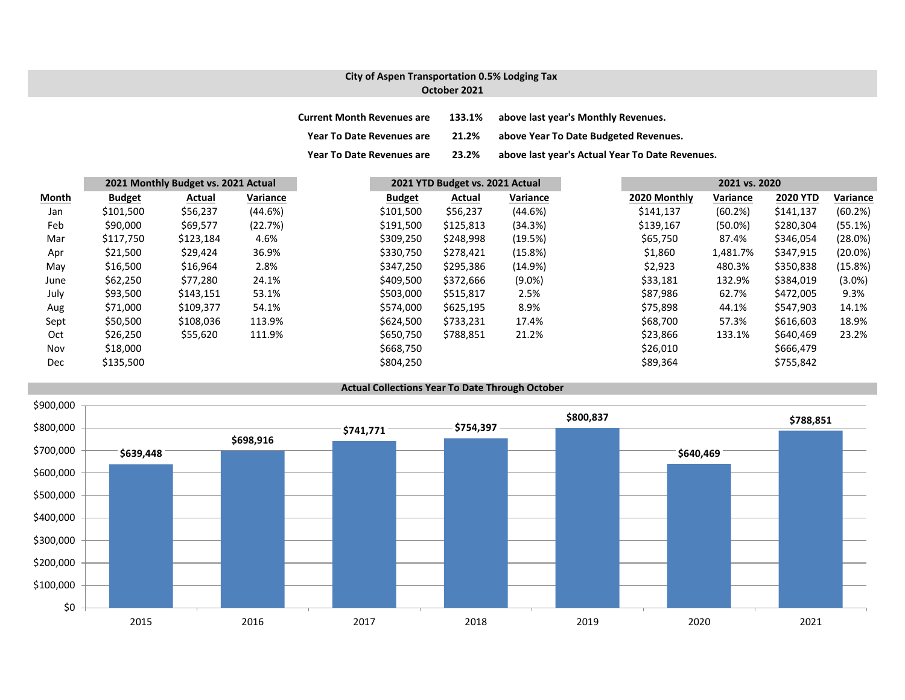### **City of Aspen Transportation 0.5% Lodging Tax October 2021**

| <b>Current Month Revenues are</b> | 133.1% | above last year's Monthly Revenues.             |
|-----------------------------------|--------|-------------------------------------------------|
| <b>Year To Date Revenues are</b>  | 21.2%  | above Year To Date Budgeted Revenues.           |
| <b>Year To Date Revenues are</b>  | 23.2%  | above last year's Actual Year To Date Revenues. |

|       |               | 2021 Monthly Budget vs. 2021 Actual |          |               | 2021 YTD Budget vs. 2021 Actual |           |           | 2021 vs. 2020 |            |                 |            |
|-------|---------------|-------------------------------------|----------|---------------|---------------------------------|-----------|-----------|---------------|------------|-----------------|------------|
| Month | <b>Budget</b> | Actual                              | Variance | <b>Budget</b> |                                 | Actual    | Variance  | 2020 Monthly  | Variance   | <b>2020 YTD</b> | Variance   |
| Jan   | \$101,500     | \$56,237                            | (44.6%)  | \$101,500     |                                 | \$56,237  | (44.6%)   | \$141,137     | (60.2%)    | \$141,137       | (60.2%)    |
| Feb   | \$90,000      | \$69,577                            | (22.7%)  | \$191,500     |                                 | \$125,813 | (34.3%)   | \$139,167     | $(50.0\%)$ | \$280,304       | (55.1%)    |
| Mar   | \$117,750     | \$123,184                           | 4.6%     | \$309,250     |                                 | \$248,998 | (19.5%)   | \$65,750      | 87.4%      | \$346,054       | (28.0%)    |
| Apr   | \$21,500      | \$29,424                            | 36.9%    | \$330,750     |                                 | \$278,421 | (15.8%)   | \$1,860       | 1,481.7%   | \$347,915       | $(20.0\%)$ |
| May   | \$16,500      | \$16,964                            | 2.8%     | \$347,250     |                                 | \$295,386 | (14.9%)   | \$2,923       | 480.3%     | \$350,838       | (15.8%)    |
| June  | \$62,250      | \$77,280                            | 24.1%    | \$409,500     |                                 | \$372,666 | $(9.0\%)$ | \$33,181      | 132.9%     | \$384,019       | $(3.0\%)$  |
| July  | \$93,500      | \$143,151                           | 53.1%    | \$503,000     |                                 | \$515,817 | 2.5%      | \$87,986      | 62.7%      | \$472,005       | 9.3%       |
| Aug   | \$71,000      | \$109,377                           | 54.1%    | \$574,000     |                                 | \$625,195 | 8.9%      | \$75,898      | 44.1%      | \$547,903       | 14.1%      |
| Sept  | \$50,500      | \$108,036                           | 113.9%   | \$624,500     |                                 | \$733,231 | 17.4%     | \$68,700      | 57.3%      | \$616,603       | 18.9%      |
| Oct   | \$26,250      | \$55,620                            | 111.9%   | \$650,750     |                                 | \$788,851 | 21.2%     | \$23,866      | 133.1%     | \$640,469       | 23.2%      |
| Nov   | \$18,000      |                                     |          | \$668,750     |                                 |           |           | \$26,010      |            | \$666,479       |            |
| Dec   | \$135,500     |                                     |          | \$804,250     |                                 |           |           | \$89,364      |            | \$755,842       |            |

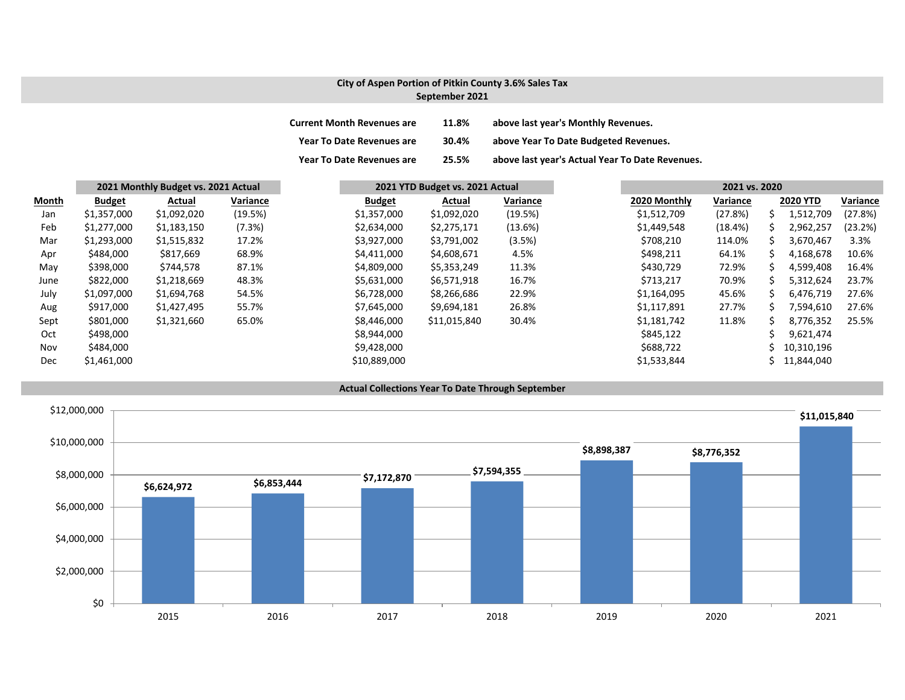## **City of Aspen Portion of Pitkin County 3.6% Sales Tax September 2021**

| <b>Current Month Revenues are</b> | 11.8% | above last year's Monthly Revenues.             |
|-----------------------------------|-------|-------------------------------------------------|
| Year To Date Revenues are         | 30.4% | above Year To Date Budgeted Revenues.           |
| <b>Year To Date Revenues are</b>  | 25.5% | above last year's Actual Year To Date Revenues. |

|       |               | 2021 Monthly Budget vs. 2021 Actual |          |  |               | 2021 YTD Budget vs. 2021 Actual |          |  | 2021 vs. 2020 |          |    |                 |          |
|-------|---------------|-------------------------------------|----------|--|---------------|---------------------------------|----------|--|---------------|----------|----|-----------------|----------|
| Month | <b>Budget</b> | Actual                              | Variance |  | <b>Budget</b> | Actual                          | Variance |  | 2020 Monthly  | Variance |    | <b>2020 YTD</b> | Variance |
| Jan   | \$1,357,000   | \$1,092,020                         | (19.5%)  |  | \$1,357,000   | \$1,092,020                     | (19.5%)  |  | \$1,512,709   | (27.8%)  | S  | 1,512,709       | (27.8%)  |
| Feb   | \$1,277,000   | \$1,183,150                         | (7.3%)   |  | \$2,634,000   | \$2,275,171                     | (13.6%)  |  | \$1,449,548   | (18.4%)  | S  | 2,962,257       | (23.2%)  |
| Mar   | \$1,293,000   | \$1,515,832                         | 17.2%    |  | \$3,927,000   | \$3,791,002                     | (3.5%)   |  | \$708,210     | 114.0%   | S  | 3,670,467       | 3.3%     |
| Apr   | \$484,000     | \$817,669                           | 68.9%    |  | \$4,411,000   | \$4,608,671                     | 4.5%     |  | \$498,211     | 64.1%    |    | 4,168,678       | 10.6%    |
| May   | \$398,000     | \$744,578                           | 87.1%    |  | \$4,809,000   | \$5,353,249                     | 11.3%    |  | \$430,729     | 72.9%    | s  | 4,599,408       | 16.4%    |
| June  | \$822,000     | \$1,218,669                         | 48.3%    |  | \$5,631,000   | \$6,571,918                     | 16.7%    |  | \$713,217     | 70.9%    |    | 5,312,624       | 23.7%    |
| July  | \$1,097,000   | \$1,694,768                         | 54.5%    |  | \$6,728,000   | \$8,266,686                     | 22.9%    |  | \$1,164,095   | 45.6%    | S. | 6,476,719       | 27.6%    |
| Aug   | \$917,000     | \$1,427,495                         | 55.7%    |  | \$7,645,000   | \$9,694,181                     | 26.8%    |  | \$1,117,891   | 27.7%    |    | 7,594,610       | 27.6%    |
| Sept  | \$801,000     | \$1,321,660                         | 65.0%    |  | \$8,446,000   | \$11,015,840                    | 30.4%    |  | \$1,181,742   | 11.8%    | ς  | 8,776,352       | 25.5%    |
| Oct   | \$498,000     |                                     |          |  | \$8,944,000   |                                 |          |  | \$845,122     |          |    | 9,621,474       |          |
| Nov   | \$484,000     |                                     |          |  | \$9,428,000   |                                 |          |  | \$688,722     |          |    | 10,310,196      |          |
| Dec   | \$1,461,000   |                                     |          |  | \$10,889,000  |                                 |          |  | \$1,533,844   |          |    | 11,844,040      |          |

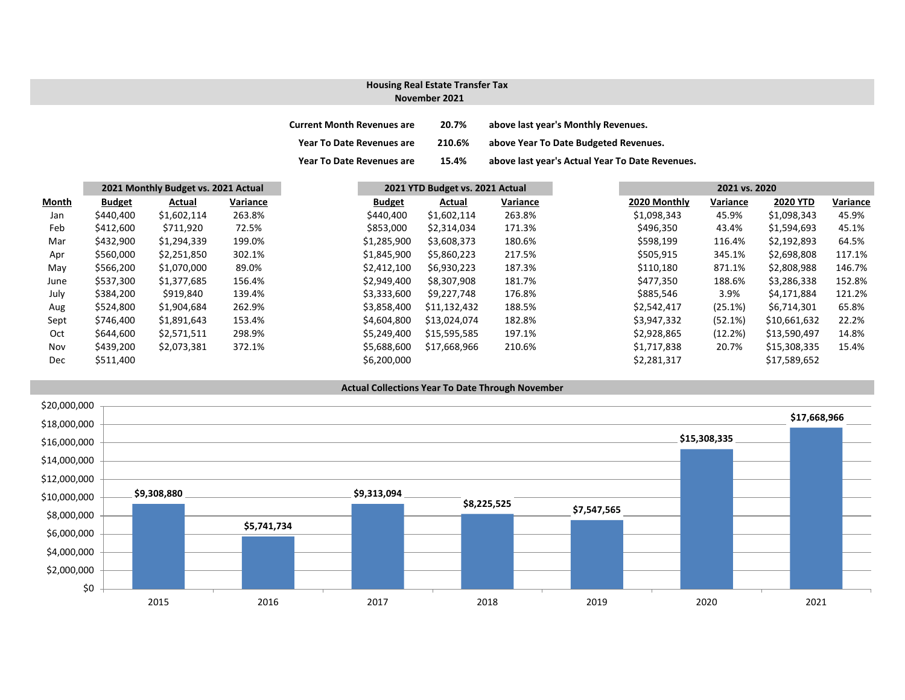### **November 2021 Housing Real Estate Transfer Tax**

| <b>Current Month Revenues are</b> | 20.7%  | above last year's Monthly Revenues.             |
|-----------------------------------|--------|-------------------------------------------------|
| <b>Year To Date Revenues are</b>  | 210.6% | above Year To Date Budgeted Revenues.           |
| <b>Year To Date Revenues are</b>  | 15.4%  | above last year's Actual Year To Date Revenues. |

|       | 2021 Monthly Budget vs. 2021 Actual |             | 2021 YTD Budget vs. 2021 Actual |               |              | 2021 vs. 2020 |              |          |                 |          |
|-------|-------------------------------------|-------------|---------------------------------|---------------|--------------|---------------|--------------|----------|-----------------|----------|
| Month | <b>Budget</b>                       | Actual      | Variance                        | <b>Budget</b> | Actual       | Variance      | 2020 Monthly | Variance | <b>2020 YTD</b> | Variance |
| Jan   | \$440,400                           | \$1,602,114 | 263.8%                          | \$440,400     | \$1,602,114  | 263.8%        | \$1,098,343  | 45.9%    | \$1,098,343     | 45.9%    |
| Feb   | \$412,600                           | \$711,920   | 72.5%                           | \$853,000     | \$2,314,034  | 171.3%        | \$496,350    | 43.4%    | \$1,594,693     | 45.1%    |
| Mar   | \$432,900                           | \$1,294,339 | 199.0%                          | \$1,285,900   | \$3,608,373  | 180.6%        | \$598,199    | 116.4%   | \$2,192,893     | 64.5%    |
| Apr   | \$560,000                           | \$2,251,850 | 302.1%                          | \$1,845,900   | \$5,860,223  | 217.5%        | \$505,915    | 345.1%   | \$2,698,808     | 117.1%   |
| May   | \$566,200                           | \$1,070,000 | 89.0%                           | \$2,412,100   | \$6,930,223  | 187.3%        | \$110,180    | 871.1%   | \$2,808,988     | 146.7%   |
| June  | \$537,300                           | \$1,377,685 | 156.4%                          | \$2,949,400   | \$8,307,908  | 181.7%        | \$477,350    | 188.6%   | \$3,286,338     | 152.8%   |
| July  | \$384,200                           | \$919,840   | 139.4%                          | \$3,333,600   | \$9,227,748  | 176.8%        | \$885,546    | 3.9%     | \$4,171,884     | 121.2%   |
| Aug   | \$524,800                           | \$1,904,684 | 262.9%                          | \$3,858,400   | \$11,132,432 | 188.5%        | \$2,542,417  | (25.1%)  | \$6,714,301     | 65.8%    |
| Sept  | \$746,400                           | \$1,891,643 | 153.4%                          | \$4,604,800   | \$13,024,074 | 182.8%        | \$3,947,332  | (52.1%)  | \$10,661,632    | 22.2%    |
| Oct   | \$644,600                           | \$2,571,511 | 298.9%                          | \$5,249,400   | \$15,595,585 | 197.1%        | \$2,928,865  | (12.2%)  | \$13,590,497    | 14.8%    |
| Nov   | \$439,200                           | \$2,073,381 | 372.1%                          | \$5,688,600   | \$17,668,966 | 210.6%        | \$1,717,838  | 20.7%    | \$15,308,335    | 15.4%    |
| Dec   | \$511,400                           |             |                                 | \$6,200,000   |              |               | \$2,281,317  |          | \$17,589,652    |          |